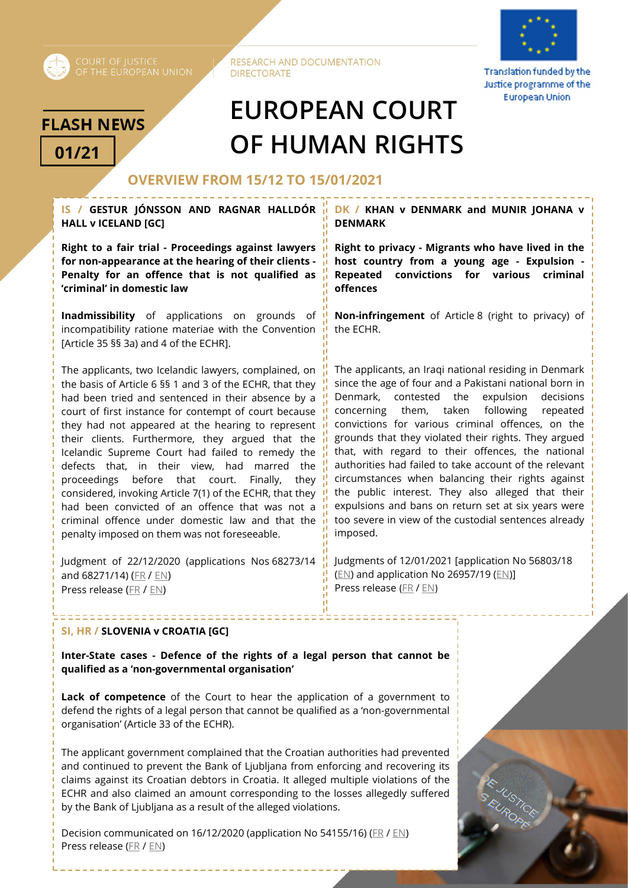

RESEARCH AND DOCUMENTATION **DIRECTORATE** 



Translation funded by the Justice programme of the **European Union** 

## **FLASH NEWS**

# **EUROPEAN COURT 01/21 OF HUMAN RIGHTS**

### **OVERVIEW FROM 15/12 TO 15/01/2021**

**IS / GESTUR JÓNSSON AND RAGNAR HALLDÓR HALL v ICELAND [GC]** 

**Right to a fair trial - Proceedings against lawyers for non-appearance at the hearing of their clients - Penalty for an offence that is not qualified as 'criminal' in domestic law** 

**Inadmissibility** of applications on grounds of incompatibility ratione materiae with the Convention [Article 35 §§ 3a) and 4 of the ECHR].

The applicants, two Icelandic lawyers, complained, on the basis of Article 6 §§ 1 and 3 of the ECHR, that they had been tried and sentenced in their absence by a court of first instance for contempt of court because they had not appeared at the hearing to represent their clients. Furthermore, they argued that the Icelandic Supreme Court had failed to remedy the defects that, in their view, had marred the proceedings before that court. Finally, they considered, invoking Article 7(1) of the ECHR, that they had been convicted of an offence that was not a criminal offence under domestic law and that the penalty imposed on them was not foreseeable.

Judgment of 22/12/2020 (applications Nos 68273/14 and 68271/14) [\(FR](http://hudoc.echr.coe.int/eng?i=001-207325) [/ EN\)](http://hudoc.echr.coe.int/eng?i=001-207115) Press release [\(FR](https://hudoc.echr.coe.int/app/conversion/pdf/?library=ECHR&id=003-6893607-9252508&filename=Arr%EAt%20de%20Grande%20Chambre%20dans%20l) / [EN\)](https://hudoc.echr.coe.int/app/conversion/pdf/?library=ECHR&id=003-6893611-9252514&filename=Grand%20Chamber%20Judgment%20in%20the%20case%20of%20Gestur%20Jonsson%20and%20Ragnar%20Halldor%20Hall%20v.%20Iceland%20-%20Fines%20imposed%20on%20two%20Icelandic%20lawyers%20for%20contempt%20of%20court%20.pdf)

------------------------------------

**DK / KHAN v DENMARK and MUNIR JOHANA v DENMARK**

**Right to privacy - Migrants who have lived in the host country from a young age - Expulsion - Repeated convictions for various criminal offences**

**Non-infringement** of Article 8 (right to privacy) of the ECHR.

The applicants, an Iraqi national residing in Denmark since the age of four and a Pakistani national born in Denmark, contested the expulsion decisions concerning them, taken following repeated convictions for various criminal offences, on the grounds that they violated their rights. They argued that, with regard to their offences, the national authorities had failed to take account of the relevant circumstances when balancing their rights against the public interest. They also alleged that their expulsions and bans on return set at six years were too severe in view of the custodial sentences already imposed.

Judgments of 12/01/2021 [application No 56803/18 [\(EN\)](http://hudoc.echr.coe.int/eng?i=001-207134) and application No 26957/19 [\(EN\)\]](http://hudoc.echr.coe.int/eng?i=001-207136) Press release ([FR](https://hudoc.echr.coe.int/app/conversion/pdf/?library=ECHR&id=003-6902461-9267177&filename=Deux%20arr%EAts%20concernant%20le%20Danemark%20-%20Expulsions%20%E0%20la%20suite%20de%20condamnations%20p%E9nales%20non-violations%20.pdf) / [EN](https://hudoc.echr.coe.int/app/conversion/pdf/?library=ECHR&id=003-6902459-9267175&filename=Two%20judgments%20concerning%20Denmark%20-%20Expulsions%20following%20criminal%20convictions%20non-violations.pdf))

,,,,,,,,,,,,,,,,,,

#### **SI, HR / SLOVENIA v CROATIA [GC]**

**Inter-State cases - Defence of the rights of a legal person that cannot be qualified as a 'non-governmental organisation'** 

**Lack of competence** of the Court to hear the application of a government to defend the rights of a legal person that cannot be qualified as a 'non-governmental organisation' (Article 33 of the ECHR).

The applicant government complained that the Croatian authorities had prevented and continued to prevent the Bank of Ljubljana from enforcing and recovering its claims against its Croatian debtors in Croatia. It alleged multiple violations of the ECHR and also claimed an amount corresponding to the losses allegedly suffered by the Bank of Ljubljana as a result of the alleged violations.

Decision communicated on 16/12/2020 (application No [54155/16\)](https://hudoc.echr.coe.int/eng#%7B) [\(FR](http://hudoc.echr.coe.int/eng?i=001-207014) / [EN\)](http://hudoc.echr.coe.int/eng?i=001-206897) Press release [\(FR](https://hudoc.echr.coe.int/app/conversion/pdf/?library=ECHR&id=003-6888428-9242437&filename=D%E9cision%20de%20Grande%20Chambre%20Slov%E9nie%20c.%20Croatie%20-%20une%20requ%EAte%20%E9tatique%20ne%20peut%20d%E9fendre%20les%20droits%20d%25u2019une%20personne%20morale%20qui%20n) / [EN\)](https://hudoc.echr.coe.int/app/conversion/pdf/?library=ECHR&id=003-6888422-9242431&filename=Grand%20Chamber%20Decision%20Slovenia%20v.%20Croatia%20-%20inter-State%20case%20inadmissible%20owing%20to%20organisation%25u2019s%20lack%20of%20non-governmental%20status.pdf)